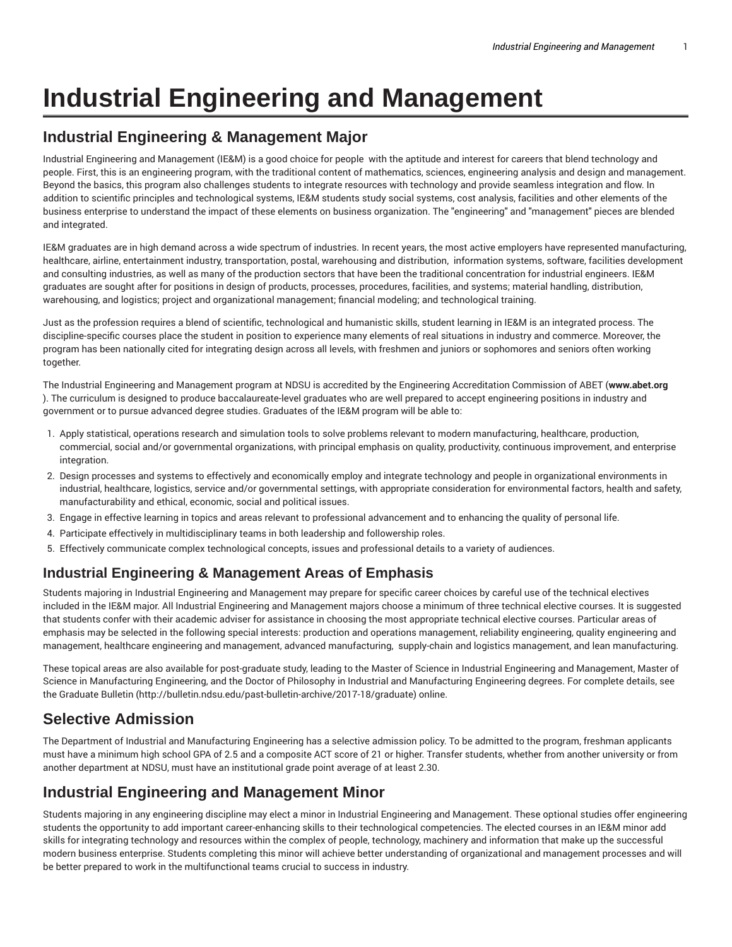# **Industrial Engineering and Management**

# **Industrial Engineering & Management Major**

Industrial Engineering and Management (IE&M) is a good choice for people with the aptitude and interest for careers that blend technology and people. First, this is an engineering program, with the traditional content of mathematics, sciences, engineering analysis and design and management. Beyond the basics, this program also challenges students to integrate resources with technology and provide seamless integration and flow. In addition to scientific principles and technological systems, IE&M students study social systems, cost analysis, facilities and other elements of the business enterprise to understand the impact of these elements on business organization. The "engineering" and "management" pieces are blended and integrated.

IE&M graduates are in high demand across a wide spectrum of industries. In recent years, the most active employers have represented manufacturing, healthcare, airline, entertainment industry, transportation, postal, warehousing and distribution, information systems, software, facilities development and consulting industries, as well as many of the production sectors that have been the traditional concentration for industrial engineers. IE&M graduates are sought after for positions in design of products, processes, procedures, facilities, and systems; material handling, distribution, warehousing, and logistics; project and organizational management; financial modeling; and technological training.

Just as the profession requires a blend of scientific, technological and humanistic skills, student learning in IE&M is an integrated process. The discipline-specific courses place the student in position to experience many elements of real situations in industry and commerce. Moreover, the program has been nationally cited for integrating design across all levels, with freshmen and juniors or sophomores and seniors often working together.

The Industrial Engineering and Management program at NDSU is accredited by the Engineering Accreditation Commission of ABET (**www.abet.org** ). The curriculum is designed to produce baccalaureate-level graduates who are well prepared to accept engineering positions in industry and government or to pursue advanced degree studies. Graduates of the IE&M program will be able to:

- 1. Apply statistical, operations research and simulation tools to solve problems relevant to modern manufacturing, healthcare, production, commercial, social and/or governmental organizations, with principal emphasis on quality, productivity, continuous improvement, and enterprise integration.
- 2. Design processes and systems to effectively and economically employ and integrate technology and people in organizational environments in industrial, healthcare, logistics, service and/or governmental settings, with appropriate consideration for environmental factors, health and safety, manufacturability and ethical, economic, social and political issues.
- 3. Engage in effective learning in topics and areas relevant to professional advancement and to enhancing the quality of personal life.
- 4. Participate effectively in multidisciplinary teams in both leadership and followership roles.
- 5. Effectively communicate complex technological concepts, issues and professional details to a variety of audiences.

# **Industrial Engineering & Management Areas of Emphasis**

Students majoring in Industrial Engineering and Management may prepare for specific career choices by careful use of the technical electives included in the IE&M major. All Industrial Engineering and Management majors choose a minimum of three technical elective courses. It is suggested that students confer with their academic adviser for assistance in choosing the most appropriate technical elective courses. Particular areas of emphasis may be selected in the following special interests: production and operations management, reliability engineering, quality engineering and management, healthcare engineering and management, advanced manufacturing, supply-chain and logistics management, and lean manufacturing.

These topical areas are also available for post-graduate study, leading to the Master of Science in Industrial Engineering and Management, Master of Science in Manufacturing Engineering, and the Doctor of Philosophy in Industrial and Manufacturing Engineering degrees. For complete details, see the Graduate Bulletin (http://bulletin.ndsu.edu/past-bulletin-archive/2017-18/graduate) online.

# **Selective Admission**

The Department of Industrial and Manufacturing Engineering has a selective admission policy. To be admitted to the program, freshman applicants must have a minimum high school GPA of 2.5 and a composite ACT score of 21 or higher. Transfer students, whether from another university or from another department at NDSU, must have an institutional grade point average of at least 2.30.

# **Industrial Engineering and Management Minor**

Students majoring in any engineering discipline may elect a minor in Industrial Engineering and Management. These optional studies offer engineering students the opportunity to add important career-enhancing skills to their technological competencies. The elected courses in an IE&M minor add skills for integrating technology and resources within the complex of people, technology, machinery and information that make up the successful modern business enterprise. Students completing this minor will achieve better understanding of organizational and management processes and will be better prepared to work in the multifunctional teams crucial to success in industry.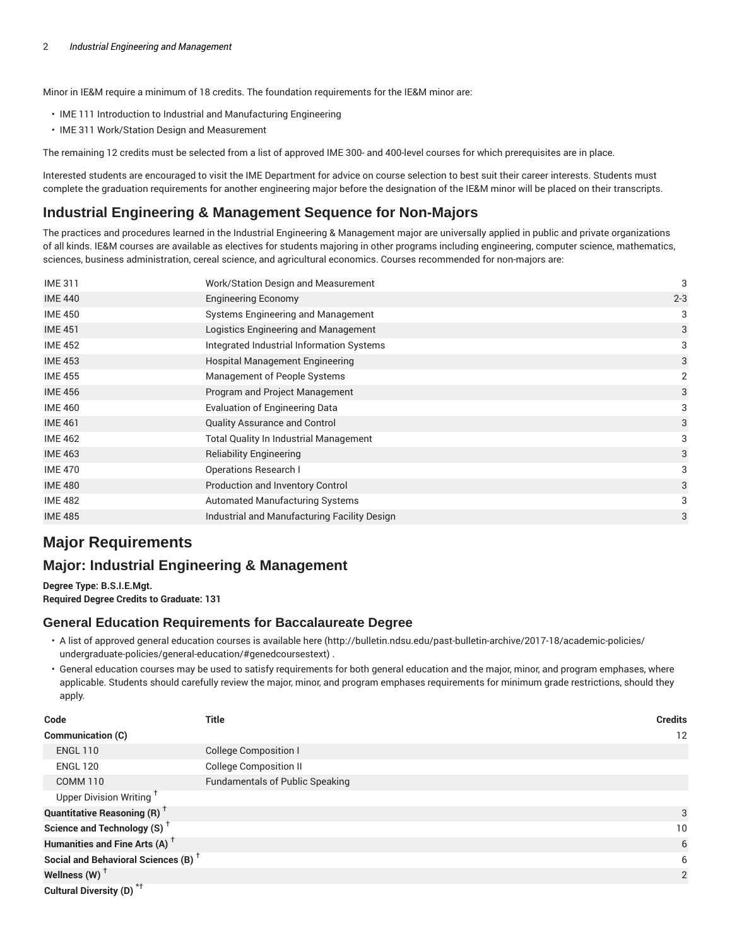Minor in IE&M require a minimum of 18 credits. The foundation requirements for the IE&M minor are:

- IME 111 Introduction to Industrial and Manufacturing Engineering
- IME 311 Work/Station Design and Measurement

The remaining 12 credits must be selected from a list of approved IME 300- and 400-level courses for which prerequisites are in place.

Interested students are encouraged to visit the IME Department for advice on course selection to best suit their career interests. Students must complete the graduation requirements for another engineering major before the designation of the IE&M minor will be placed on their transcripts.

## **Industrial Engineering & Management Sequence for Non-Majors**

The practices and procedures learned in the Industrial Engineering & Management major are universally applied in public and private organizations of all kinds. IE&M courses are available as electives for students majoring in other programs including engineering, computer science, mathematics, sciences, business administration, cereal science, and agricultural economics. Courses recommended for non-majors are:

| <b>IME 311</b> | Work/Station Design and Measurement           | 3       |
|----------------|-----------------------------------------------|---------|
| <b>IME 440</b> | <b>Engineering Economy</b>                    | $2 - 3$ |
| <b>IME 450</b> | Systems Engineering and Management            | 3       |
| <b>IME 451</b> | Logistics Engineering and Management          | 3       |
| <b>IME 452</b> | Integrated Industrial Information Systems     | 3       |
| <b>IME 453</b> | Hospital Management Engineering               | 3       |
| <b>IME 455</b> | Management of People Systems                  | 2       |
| <b>IME 456</b> | Program and Project Management                | 3       |
| <b>IME 460</b> | <b>Evaluation of Engineering Data</b>         | 3       |
| <b>IME 461</b> | <b>Quality Assurance and Control</b>          | 3       |
| <b>IME 462</b> | <b>Total Quality In Industrial Management</b> | 3       |
| <b>IME 463</b> | <b>Reliability Engineering</b>                | 3       |
| <b>IME 470</b> | <b>Operations Research I</b>                  | 3       |
| <b>IME 480</b> | Production and Inventory Control              | 3       |
| <b>IME 482</b> | <b>Automated Manufacturing Systems</b>        | 3       |
| <b>IME 485</b> | Industrial and Manufacturing Facility Design  | 3       |
|                |                                               |         |

# **Major Requirements**

## **Major: Industrial Engineering & Management**

**Degree Type: B.S.I.E.Mgt. Required Degree Credits to Graduate: 131**

#### **General Education Requirements for Baccalaureate Degree**

- A list of approved general education courses is available here (http://bulletin.ndsu.edu/past-bulletin-archive/2017-18/academic-policies/ undergraduate-policies/general-education/#genedcoursestext) .
- General education courses may be used to satisfy requirements for both general education and the major, minor, and program emphases, where applicable. Students should carefully review the major, minor, and program emphases requirements for minimum grade restrictions, should they apply.

| Code                                                 | <b>Title</b>                           | <b>Credits</b> |
|------------------------------------------------------|----------------------------------------|----------------|
| Communication (C)                                    |                                        | 12             |
| <b>ENGL 110</b>                                      | <b>College Composition I</b>           |                |
| <b>ENGL 120</b>                                      | <b>College Composition II</b>          |                |
| COMM <sub>110</sub>                                  | <b>Fundamentals of Public Speaking</b> |                |
| Upper Division Writing <sup>+</sup>                  |                                        |                |
| <b>Quantitative Reasoning (R)</b> <sup>†</sup>       |                                        | 3              |
| Science and Technology (S) <sup><math>+</math></sup> |                                        | 10             |
| Humanities and Fine Arts (A) <sup>+</sup>            |                                        | 6              |
| Social and Behavioral Sciences (B) <sup>+</sup>      |                                        | 6              |
| Wellness (W) $^{\dagger}$                            |                                        | 2              |
| Cultural Diversity (D) <sup>*†</sup>                 |                                        |                |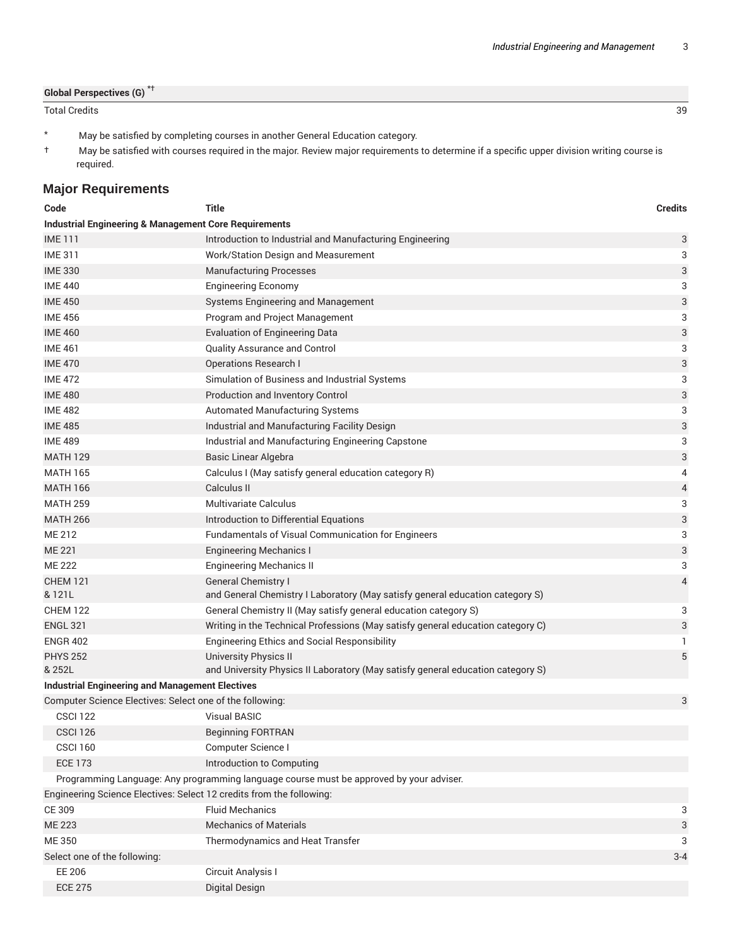#### **Global Perspectives (G)** \*†

#### Total Credits 39

- \* May be satisfied by completing courses in another General Education category.
- † May be satisfied with courses required in the major. Review major requirements to determine if a specific upper division writing course is required.

## **Major Requirements**

| Code                                                                 | <b>Title</b>                                                                            | <b>Credits</b> |
|----------------------------------------------------------------------|-----------------------------------------------------------------------------------------|----------------|
| <b>Industrial Engineering &amp; Management Core Requirements</b>     |                                                                                         |                |
| <b>IME111</b>                                                        | Introduction to Industrial and Manufacturing Engineering                                | 3              |
| <b>IME 311</b>                                                       | Work/Station Design and Measurement                                                     | 3              |
| <b>IME 330</b>                                                       | <b>Manufacturing Processes</b>                                                          | 3              |
| <b>IME 440</b>                                                       | <b>Engineering Economy</b>                                                              | 3              |
| <b>IME 450</b>                                                       | Systems Engineering and Management                                                      | 3              |
| <b>IME 456</b>                                                       | Program and Project Management                                                          | 3              |
| <b>IME 460</b>                                                       | <b>Evaluation of Engineering Data</b>                                                   | 3              |
| <b>IME 461</b>                                                       | Quality Assurance and Control                                                           | 3              |
| <b>IME 470</b>                                                       | <b>Operations Research I</b>                                                            | 3              |
| <b>IME 472</b>                                                       | Simulation of Business and Industrial Systems                                           | 3              |
| <b>IME 480</b>                                                       | Production and Inventory Control                                                        | 3              |
| <b>IME 482</b>                                                       | Automated Manufacturing Systems                                                         | 3              |
| <b>IME 485</b>                                                       | Industrial and Manufacturing Facility Design                                            | 3              |
| <b>IME 489</b>                                                       | Industrial and Manufacturing Engineering Capstone                                       | 3              |
| <b>MATH 129</b>                                                      | <b>Basic Linear Algebra</b>                                                             | 3              |
| <b>MATH 165</b>                                                      | Calculus I (May satisfy general education category R)                                   | 4              |
| <b>MATH 166</b>                                                      | Calculus II                                                                             | 4              |
| <b>MATH 259</b>                                                      | Multivariate Calculus                                                                   | 3              |
| <b>MATH 266</b>                                                      | Introduction to Differential Equations                                                  | 3              |
| ME 212                                                               | Fundamentals of Visual Communication for Engineers                                      | 3              |
| <b>ME 221</b>                                                        | <b>Engineering Mechanics I</b>                                                          | 3              |
| ME 222                                                               | <b>Engineering Mechanics II</b>                                                         | 3              |
| <b>CHEM 121</b>                                                      | <b>General Chemistry I</b>                                                              | 4              |
| & 121L                                                               | and General Chemistry I Laboratory (May satisfy general education category S)           |                |
| <b>CHEM 122</b>                                                      | General Chemistry II (May satisfy general education category S)                         | 3              |
| <b>ENGL 321</b>                                                      | Writing in the Technical Professions (May satisfy general education category C)         | 3              |
| <b>ENGR 402</b>                                                      | <b>Engineering Ethics and Social Responsibility</b>                                     | 1              |
| <b>PHYS 252</b>                                                      | <b>University Physics II</b>                                                            | 5              |
| & 252L                                                               | and University Physics II Laboratory (May satisfy general education category S)         |                |
| <b>Industrial Engineering and Management Electives</b>               |                                                                                         |                |
| Computer Science Electives: Select one of the following:             |                                                                                         | 3              |
| <b>CSCI 122</b>                                                      | <b>Visual BASIC</b>                                                                     |                |
| CSCI 126                                                             | <b>Beginning FORTRAN</b>                                                                |                |
| <b>CSCI 160</b>                                                      | Computer Science I                                                                      |                |
| <b>ECE 173</b>                                                       | Introduction to Computing                                                               |                |
|                                                                      | Programming Language: Any programming language course must be approved by your adviser. |                |
| Engineering Science Electives: Select 12 credits from the following: |                                                                                         |                |
| CE 309                                                               | <b>Fluid Mechanics</b>                                                                  | 3              |
| <b>ME 223</b>                                                        | <b>Mechanics of Materials</b>                                                           | 3              |
| ME 350                                                               | Thermodynamics and Heat Transfer                                                        | 3              |
| Select one of the following:                                         |                                                                                         | $3 - 4$        |
| <b>EE 206</b>                                                        | Circuit Analysis I                                                                      |                |
| <b>ECE 275</b>                                                       | <b>Digital Design</b>                                                                   |                |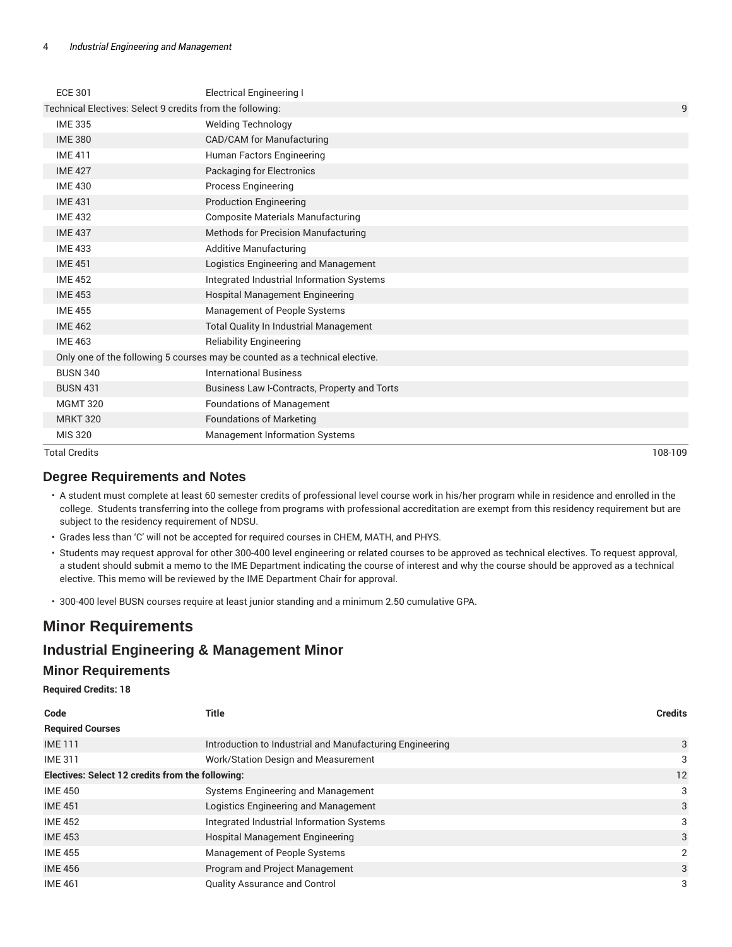| <b>Total Credits</b>                                      |                                                                             | 108-109 |
|-----------------------------------------------------------|-----------------------------------------------------------------------------|---------|
| <b>MIS 320</b>                                            | <b>Management Information Systems</b>                                       |         |
| <b>MRKT 320</b>                                           | <b>Foundations of Marketing</b>                                             |         |
| <b>MGMT 320</b>                                           | <b>Foundations of Management</b>                                            |         |
| <b>BUSN 431</b>                                           | Business Law I-Contracts, Property and Torts                                |         |
| <b>BUSN 340</b>                                           | <b>International Business</b>                                               |         |
|                                                           | Only one of the following 5 courses may be counted as a technical elective. |         |
| <b>IME 463</b>                                            | <b>Reliability Engineering</b>                                              |         |
| <b>IME 462</b>                                            | <b>Total Quality In Industrial Management</b>                               |         |
| <b>IME 455</b>                                            | Management of People Systems                                                |         |
| <b>IME 453</b>                                            | <b>Hospital Management Engineering</b>                                      |         |
| <b>IME 452</b>                                            | Integrated Industrial Information Systems                                   |         |
| <b>IME 451</b>                                            | Logistics Engineering and Management                                        |         |
| <b>IME 433</b>                                            | <b>Additive Manufacturing</b>                                               |         |
| <b>IME 437</b>                                            | <b>Methods for Precision Manufacturing</b>                                  |         |
| <b>IME 432</b>                                            | <b>Composite Materials Manufacturing</b>                                    |         |
| <b>IME 431</b>                                            | <b>Production Engineering</b>                                               |         |
| <b>IME 430</b>                                            | Process Engineering                                                         |         |
| <b>IME 427</b>                                            | Packaging for Electronics                                                   |         |
| <b>IME 411</b>                                            | Human Factors Engineering                                                   |         |
| <b>IME 380</b>                                            | CAD/CAM for Manufacturing                                                   |         |
| <b>IME 335</b>                                            | <b>Welding Technology</b>                                                   |         |
| Technical Electives: Select 9 credits from the following: |                                                                             | 9       |
| <b>ECE 301</b>                                            | <b>Electrical Engineering I</b>                                             |         |
|                                                           |                                                                             |         |

## **Degree Requirements and Notes**

- A student must complete at least 60 semester credits of professional level course work in his/her program while in residence and enrolled in the college. Students transferring into the college from programs with professional accreditation are exempt from this residency requirement but are subject to the residency requirement of NDSU.
- Grades less than 'C' will not be accepted for required courses in CHEM, MATH, and PHYS.
- Students may request approval for other 300-400 level engineering or related courses to be approved as technical electives. To request approval, a student should submit a memo to the IME Department indicating the course of interest and why the course should be approved as a technical elective. This memo will be reviewed by the IME Department Chair for approval.
- 300-400 level BUSN courses require at least junior standing and a minimum 2.50 cumulative GPA.

# **Minor Requirements**

## **Industrial Engineering & Management Minor**

### **Minor Requirements**

**Required Credits: 18**

| Code                                             | Title                                                    | <b>Credits</b> |
|--------------------------------------------------|----------------------------------------------------------|----------------|
| <b>Required Courses</b>                          |                                                          |                |
| <b>IME111</b>                                    | Introduction to Industrial and Manufacturing Engineering | 3              |
| <b>IME 311</b>                                   | Work/Station Design and Measurement                      | 3              |
| Electives: Select 12 credits from the following: |                                                          | 12             |
| <b>IME 450</b>                                   | Systems Engineering and Management                       | 3              |
| <b>IME 451</b>                                   | Logistics Engineering and Management                     | 3              |
| <b>IME 452</b>                                   | Integrated Industrial Information Systems                | 3              |
| <b>IME 453</b>                                   | <b>Hospital Management Engineering</b>                   | 3              |
| <b>IME 455</b>                                   | Management of People Systems                             | 2              |
| <b>IME 456</b>                                   | Program and Project Management                           | 3              |
| <b>IME 461</b>                                   | <b>Quality Assurance and Control</b>                     | 3              |